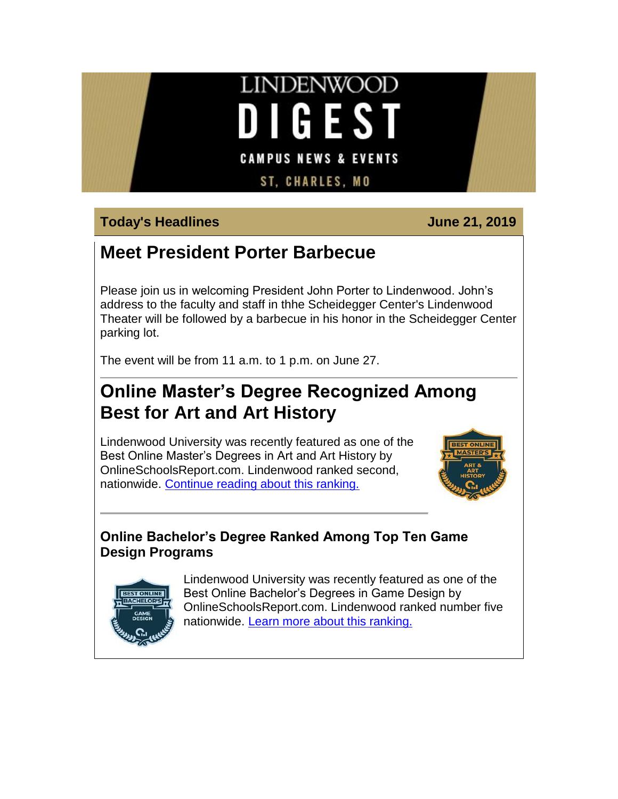# **LINDENWOOD DIGEST CAMPUS NEWS & EVENTS**

**ST, CHARLES, MO** 

## **Today's Headlines June 21, 2019**

# **Meet President Porter Barbecue**

Please join us in welcoming President John Porter to Lindenwood. John's address to the faculty and staff in thhe Scheidegger Center's Lindenwood Theater will be followed by a barbecue in his honor in the Scheidegger Center parking lot.

The event will be from 11 a.m. to 1 p.m. on June 27.

# **Online Master's Degree Recognized Among Best for Art and Art History**

Lindenwood University was recently featured as one of the Best Online Master's Degrees in Art and Art History by OnlineSchoolsReport.com. Lindenwood ranked second, nationwide. [Continue reading about this ranking.](https://hes32-ctp.trendmicro.com/wis/clicktime/v1/query?url=https%3a%2f%2fcustapp.marketvolt.com%2flink%2fF7NQUAwzHe%3fCM%3d1353045852%26X%3d70525052&umid=74e25f6d-acf7-4ce5-9f60-d038886e7db8&auth=bc7ac43e330fa629f0cfb11786c85e83c10d06b8-d6abaccf52ff4929d931028b62fc4347946392be)



#### **Online Bachelor's Degree Ranked Among Top Ten Game Design Programs**



[L](https://hes32-ctp.trendmicro.com/wis/clicktime/v1/query?url=https%3a%2f%2fcustapp.marketvolt.com%2flink%2ffLeeGTLI4u%3fCM%3d1353045852%26X%3d70525052&umid=74e25f6d-acf7-4ce5-9f60-d038886e7db8&auth=bc7ac43e330fa629f0cfb11786c85e83c10d06b8-c53c6e95c2924b14d5dcfc57879e50ab682a42ce)indenwood University was recently featured as one of the Best Online Bachelor's Degrees in Game Design by OnlineSchoolsReport.com. Lindenwood ranked number five nationwide. [Learn more about this ranking.](https://hes32-ctp.trendmicro.com/wis/clicktime/v1/query?url=https%3a%2f%2fcustapp.marketvolt.com%2flink%2ffLeeGTLI4u%3fCM%3d1353045852%26X%3d70525052&umid=74e25f6d-acf7-4ce5-9f60-d038886e7db8&auth=bc7ac43e330fa629f0cfb11786c85e83c10d06b8-c53c6e95c2924b14d5dcfc57879e50ab682a42ce)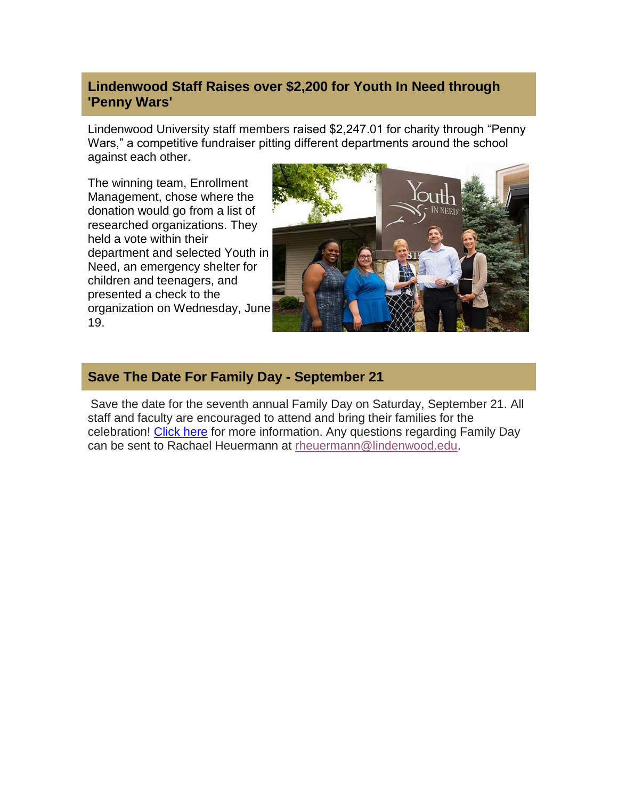#### **Lindenwood Staff Raises over \$2,200 for Youth In Need through 'Penny Wars'**

Lindenwood University staff members raised \$2,247.01 for charity through "Penny Wars," a competitive fundraiser pitting different departments around the school against each other.

The winning team, Enrollment Management, chose where the donation would go from a list of researched organizations. They held a vote within their department and selected Youth in Need, an emergency shelter for children and teenagers, and presented a check to the organization on Wednesday, June 19.



#### **Save The Date For Family Day - September 21**

Save the date for the seventh annual Family Day on Saturday, September 21. All staff and faculty are encouraged to attend and bring their families for the celebration! [Click here](https://hes32-ctp.trendmicro.com/wis/clicktime/v1/query?url=https%3a%2f%2fcustapp.marketvolt.com%2flink%2fPy6LYe2mZ3%3fCM%3d1353045852%26X%3d70525052&umid=74e25f6d-acf7-4ce5-9f60-d038886e7db8&auth=bc7ac43e330fa629f0cfb11786c85e83c10d06b8-f459437c6fb475e02688fef05cad65dd832d1503) for more information. Any questions regarding Family Day can be sent to Rachael Heuermann at [rheuermann@lindenwood.edu.](mailto:rheuermann@lindenwood.edu)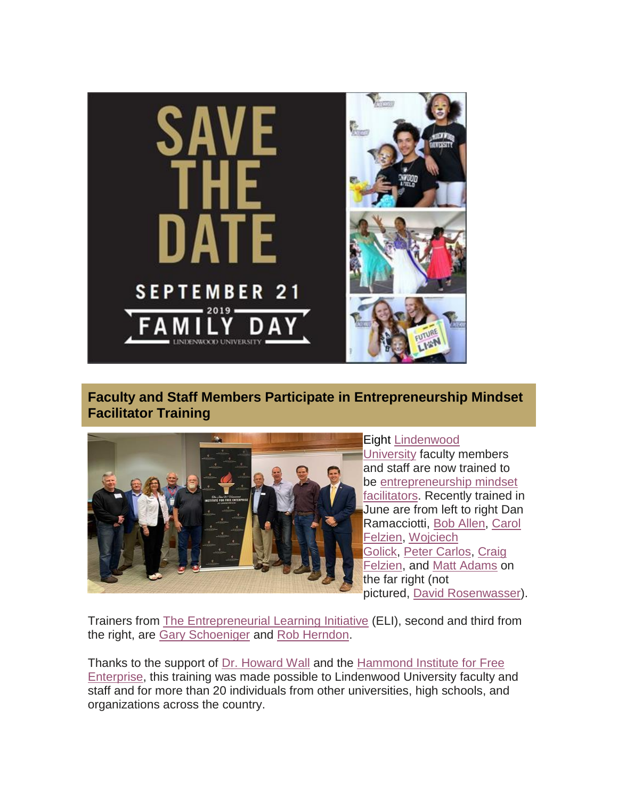

**Faculty and Staff Members Participate in Entrepreneurship Mindset Facilitator Training**



#### Eight [Lindenwood](https://hes32-ctp.trendmicro.com/wis/clicktime/v1/query?url=https%3a%2f%2fcustapp.marketvolt.com%2flink%2fEcWoMGlFzz%3fCM%3d1353045852%26X%3d70525052&umid=74e25f6d-acf7-4ce5-9f60-d038886e7db8&auth=bc7ac43e330fa629f0cfb11786c85e83c10d06b8-e0fe8e13733b2410ef527c49ba9c1e673436b01b) [University](https://hes32-ctp.trendmicro.com/wis/clicktime/v1/query?url=https%3a%2f%2fcustapp.marketvolt.com%2flink%2fEcWoMGlFzz%3fCM%3d1353045852%26X%3d70525052&umid=74e25f6d-acf7-4ce5-9f60-d038886e7db8&auth=bc7ac43e330fa629f0cfb11786c85e83c10d06b8-e0fe8e13733b2410ef527c49ba9c1e673436b01b) faculty members and staff are now trained to be [entrepreneurship](https://hes32-ctp.trendmicro.com/wis/clicktime/v1/query?url=https%3a%2f%2fcustapp.marketvolt.com%2flink%2fRgbLEcs2MU%3fCM%3d1353045852%26X%3d70525052&umid=74e25f6d-acf7-4ce5-9f60-d038886e7db8&auth=bc7ac43e330fa629f0cfb11786c85e83c10d06b8-c499c948412531d05896841bf0ed0cd8c9563ee1) mindset [facilitators.](https://hes32-ctp.trendmicro.com/wis/clicktime/v1/query?url=https%3a%2f%2fcustapp.marketvolt.com%2flink%2fRgbLEcs2MU%3fCM%3d1353045852%26X%3d70525052&umid=74e25f6d-acf7-4ce5-9f60-d038886e7db8&auth=bc7ac43e330fa629f0cfb11786c85e83c10d06b8-c499c948412531d05896841bf0ed0cd8c9563ee1) Recently trained in June are from left to right Dan Ramacciotti, Bob [Allen,](https://hes32-ctp.trendmicro.com/wis/clicktime/v1/query?url=https%3a%2f%2fcustapp.marketvolt.com%2flink%2fwMTgfFdcNn%3fCM%3d1353045852%26X%3d70525052&umid=74e25f6d-acf7-4ce5-9f60-d038886e7db8&auth=bc7ac43e330fa629f0cfb11786c85e83c10d06b8-1c96346efa83e3443ac0335cac2b310d58d81e58) [Carol](https://hes32-ctp.trendmicro.com/wis/clicktime/v1/query?url=https%3a%2f%2fcustapp.marketvolt.com%2flink%2feBFrAUlmzL%3fCM%3d1353045852%26X%3d70525052&umid=74e25f6d-acf7-4ce5-9f60-d038886e7db8&auth=bc7ac43e330fa629f0cfb11786c85e83c10d06b8-b5e3dc8a6e256715cdcdbfac562456a6b6de4861) [Felzien,](https://hes32-ctp.trendmicro.com/wis/clicktime/v1/query?url=https%3a%2f%2fcustapp.marketvolt.com%2flink%2feBFrAUlmzL%3fCM%3d1353045852%26X%3d70525052&umid=74e25f6d-acf7-4ce5-9f60-d038886e7db8&auth=bc7ac43e330fa629f0cfb11786c85e83c10d06b8-b5e3dc8a6e256715cdcdbfac562456a6b6de4861) [Wojciech](https://hes32-ctp.trendmicro.com/wis/clicktime/v1/query?url=https%3a%2f%2fcustapp.marketvolt.com%2flink%2f4hLku3cqI1%3fCM%3d1353045852%26X%3d70525052&umid=74e25f6d-acf7-4ce5-9f60-d038886e7db8&auth=bc7ac43e330fa629f0cfb11786c85e83c10d06b8-a291bc8624df99643fe07e05fe8f338465a014bc) [Golick,](https://hes32-ctp.trendmicro.com/wis/clicktime/v1/query?url=https%3a%2f%2fcustapp.marketvolt.com%2flink%2f4hLku3cqI1%3fCM%3d1353045852%26X%3d70525052&umid=74e25f6d-acf7-4ce5-9f60-d038886e7db8&auth=bc7ac43e330fa629f0cfb11786c85e83c10d06b8-a291bc8624df99643fe07e05fe8f338465a014bc) Peter [Carlos,](https://hes32-ctp.trendmicro.com/wis/clicktime/v1/query?url=https%3a%2f%2fcustapp.marketvolt.com%2flink%2ffDfx8Axkcn%3fCM%3d1353045852%26X%3d70525052&umid=74e25f6d-acf7-4ce5-9f60-d038886e7db8&auth=bc7ac43e330fa629f0cfb11786c85e83c10d06b8-3d927b61bf69fa9e137ae1fb9d3e43b3ff44b235) [Craig](https://hes32-ctp.trendmicro.com/wis/clicktime/v1/query?url=https%3a%2f%2fcustapp.marketvolt.com%2flink%2fLaYv6dIe5N%3fCM%3d1353045852%26X%3d70525052&umid=74e25f6d-acf7-4ce5-9f60-d038886e7db8&auth=bc7ac43e330fa629f0cfb11786c85e83c10d06b8-a3c36f8fdbdc890da5548ab185b2bd8294deb7c7) [Felzien,](https://hes32-ctp.trendmicro.com/wis/clicktime/v1/query?url=https%3a%2f%2fcustapp.marketvolt.com%2flink%2fLaYv6dIe5N%3fCM%3d1353045852%26X%3d70525052&umid=74e25f6d-acf7-4ce5-9f60-d038886e7db8&auth=bc7ac43e330fa629f0cfb11786c85e83c10d06b8-a3c36f8fdbdc890da5548ab185b2bd8294deb7c7) and Matt [Adams](https://hes32-ctp.trendmicro.com/wis/clicktime/v1/query?url=https%3a%2f%2fcustapp.marketvolt.com%2flink%2fla6FpGreEx%3fCM%3d1353045852%26X%3d70525052&umid=74e25f6d-acf7-4ce5-9f60-d038886e7db8&auth=bc7ac43e330fa629f0cfb11786c85e83c10d06b8-d6437e17982d3339a216494d15e80e7d307acaff) on the far right (not pictured, David [Rosenwasser\)](https://hes32-ctp.trendmicro.com/wis/clicktime/v1/query?url=https%3a%2f%2fcustapp.marketvolt.com%2flink%2fU2PfaqlSYd%3fCM%3d1353045852%26X%3d70525052&umid=74e25f6d-acf7-4ce5-9f60-d038886e7db8&auth=bc7ac43e330fa629f0cfb11786c85e83c10d06b8-3fb64679952f7e6d14801f9ca39cbb34971122b9).

Trainers from The [Entrepreneurial](https://hes32-ctp.trendmicro.com/wis/clicktime/v1/query?url=https%3a%2f%2fcustapp.marketvolt.com%2flink%2fWPYI42sxwm%3fCM%3d1353045852%26X%3d70525052&umid=74e25f6d-acf7-4ce5-9f60-d038886e7db8&auth=bc7ac43e330fa629f0cfb11786c85e83c10d06b8-d2d99ab6fb013880c1d081cf197a28bb088dae79) Learning Initiative (ELI), second and third from the right, are Gary [Schoeniger](https://hes32-ctp.trendmicro.com/wis/clicktime/v1/query?url=https%3a%2f%2fcustapp.marketvolt.com%2flink%2f7ii1GpNdk1%3fCM%3d1353045852%26X%3d70525052&umid=74e25f6d-acf7-4ce5-9f60-d038886e7db8&auth=bc7ac43e330fa629f0cfb11786c85e83c10d06b8-b5e8cce049830d628164b6e4326ac24f96287e1d) and Rob [Herndon.](https://hes32-ctp.trendmicro.com/wis/clicktime/v1/query?url=https%3a%2f%2fcustapp.marketvolt.com%2flink%2f7ii1GpNdk1%3fCM%3d1353045852%26X%3d70525052&umid=74e25f6d-acf7-4ce5-9f60-d038886e7db8&auth=bc7ac43e330fa629f0cfb11786c85e83c10d06b8-b5e8cce049830d628164b6e4326ac24f96287e1d)

Thanks to the support of Dr. [Howard](https://hes32-ctp.trendmicro.com/wis/clicktime/v1/query?url=https%3a%2f%2fcustapp.marketvolt.com%2flink%2fqZCfX6c319%3fCM%3d1353045852%26X%3d70525052&umid=74e25f6d-acf7-4ce5-9f60-d038886e7db8&auth=bc7ac43e330fa629f0cfb11786c85e83c10d06b8-2da59eb07ae562d4cd052acc3c7009ebb197b331) Wall and the [Hammond](https://hes32-ctp.trendmicro.com/wis/clicktime/v1/query?url=https%3a%2f%2fcustapp.marketvolt.com%2flink%2fhFHF29byuK%3fCM%3d1353045852%26X%3d70525052&umid=74e25f6d-acf7-4ce5-9f60-d038886e7db8&auth=bc7ac43e330fa629f0cfb11786c85e83c10d06b8-e2424cd6da4feb6b8b060f5c5376baaadf02ef1e) Institute for Free [Enterprise,](https://hes32-ctp.trendmicro.com/wis/clicktime/v1/query?url=https%3a%2f%2fcustapp.marketvolt.com%2flink%2fhFHF29byuK%3fCM%3d1353045852%26X%3d70525052&umid=74e25f6d-acf7-4ce5-9f60-d038886e7db8&auth=bc7ac43e330fa629f0cfb11786c85e83c10d06b8-e2424cd6da4feb6b8b060f5c5376baaadf02ef1e) this training was made possible to Lindenwood University faculty and staff and for more than 20 individuals from other universities, high schools, and organizations across the country.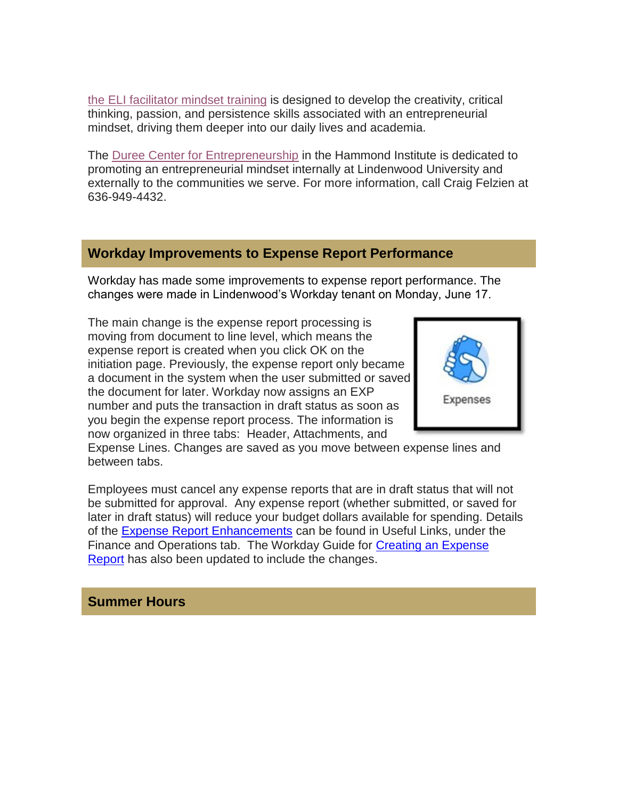the ELI [facilitator](https://hes32-ctp.trendmicro.com/wis/clicktime/v1/query?url=https%3a%2f%2fcustapp.marketvolt.com%2flink%2fzklnqEKwo3%3fCM%3d1353045852%26X%3d70525052&umid=74e25f6d-acf7-4ce5-9f60-d038886e7db8&auth=bc7ac43e330fa629f0cfb11786c85e83c10d06b8-5fbf9d372725021153de6dea3983ec63eb887061) mindset training is designed to develop the creativity, critical thinking, passion, and persistence skills associated with an entrepreneurial mindset, driving them deeper into our daily lives and academia.

The Duree Center for [Entrepreneurship](https://hes32-ctp.trendmicro.com/wis/clicktime/v1/query?url=https%3a%2f%2fcustapp.marketvolt.com%2flink%2fziPI86UGHk%3fCM%3d1353045852%26X%3d70525052&umid=74e25f6d-acf7-4ce5-9f60-d038886e7db8&auth=bc7ac43e330fa629f0cfb11786c85e83c10d06b8-3042e11bab6e91c4f219ebc6a16050262face710) in the Hammond Institute is dedicated to promoting an entrepreneurial mindset internally at Lindenwood University and externally to the communities we serve. For more information, call Craig Felzien at 636-949-4432.

#### **Workday Improvements to Expense Report Performance**

Workday has made some improvements to expense report performance. The changes were made in Lindenwood's Workday tenant on Monday, June 17.

The main change is the expense report processing is moving from document to line level, which means the expense report is created when you click OK on the initiation page. Previously, the expense report only became a document in the system when the user submitted or saved the document for later. Workday now assigns an EXP number and puts the transaction in draft status as soon as you begin the expense report process. The information is now organized in three tabs: Header, Attachments, and



Expense Lines. Changes are saved as you move between expense lines and between tabs.

Employees must cancel any expense reports that are in draft status that will not be submitted for approval. Any expense report (whether submitted, or saved for later in draft status) will reduce your budget dollars available for spending. Details of the Expense Report [Enhancements](https://hes32-ctp.trendmicro.com/wis/clicktime/v1/query?url=https%3a%2f%2fcustapp.marketvolt.com%2flink%2fCxmlblZEp7%3fCM%3d1353045852%26X%3d70525052&umid=74e25f6d-acf7-4ce5-9f60-d038886e7db8&auth=bc7ac43e330fa629f0cfb11786c85e83c10d06b8-7d5451e54200cba779a4c26d560286d25e09e26f) can be found in Useful Links, under the Finance and Operations tab. The Workday Guide for Creating an [Expense](https://hes32-ctp.trendmicro.com/wis/clicktime/v1/query?url=https%3a%2f%2fcustapp.marketvolt.com%2flink%2fYpo9LDqNlo%3fCM%3d1353045852%26X%3d70525052&umid=74e25f6d-acf7-4ce5-9f60-d038886e7db8&auth=bc7ac43e330fa629f0cfb11786c85e83c10d06b8-1a1acdce62cd53170fc25f0805eb409d5db21bdc) [Report](https://hes32-ctp.trendmicro.com/wis/clicktime/v1/query?url=https%3a%2f%2fcustapp.marketvolt.com%2flink%2fYpo9LDqNlo%3fCM%3d1353045852%26X%3d70525052&umid=74e25f6d-acf7-4ce5-9f60-d038886e7db8&auth=bc7ac43e330fa629f0cfb11786c85e83c10d06b8-1a1acdce62cd53170fc25f0805eb409d5db21bdc) has also been updated to include the changes.

#### **Summer Hours**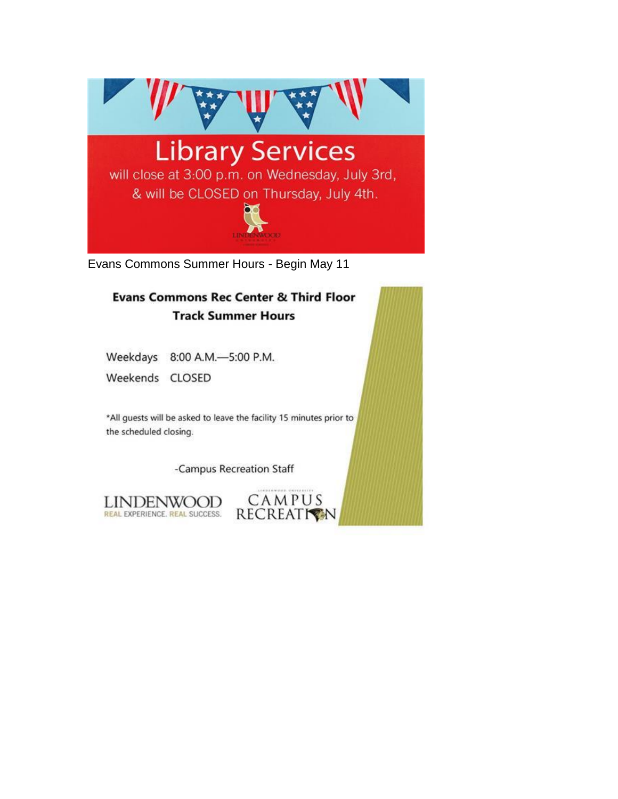

Evans Commons Summer Hours - Begin May 11

### **Evans Commons Rec Center & Third Floor Track Summer Hours**

Weekdays 8:00 A.M.-5:00 P.M.

Weekends CLOSED

\*All guests will be asked to leave the facility 15 minutes prior to the scheduled closing.

-Campus Recreation Staff

CAMPUS

RECREATION

LINDENWOOD REAL EXPERIENCE. REAL SUCCESS.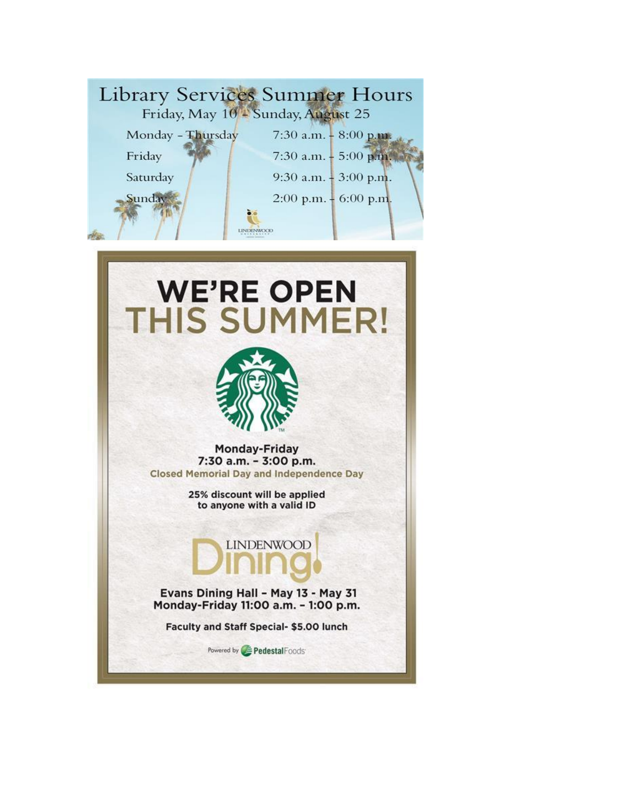



**Monday-Friday** 7:30 a.m. - 3:00 p.m. **Closed Memorial Day and Independence Day** 

> 25% discount will be applied to anyone with a valid ID



Evans Dining Hall - May 13 - May 31 Monday-Friday 11:00 a.m. - 1:00 p.m.

Faculty and Staff Special- \$5.00 lunch

Pedestal Foods